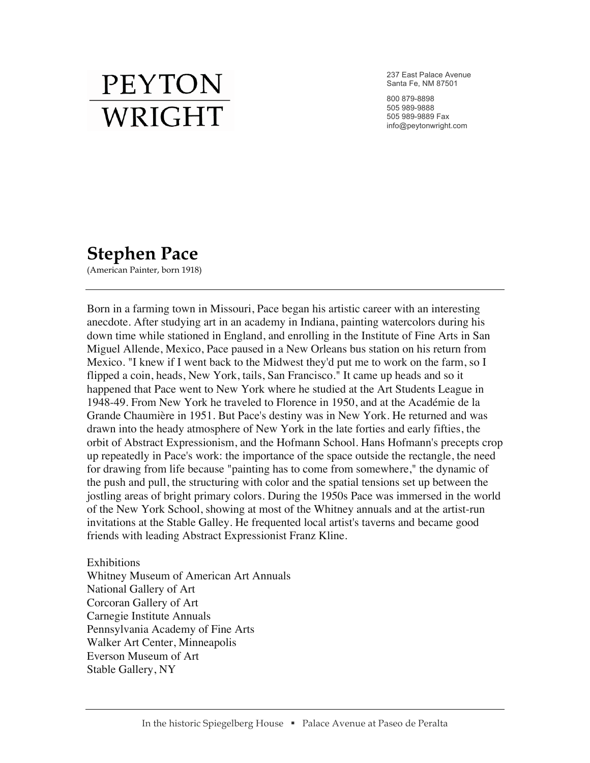## **PEYTON** WRIGHT

237 East Palace Avenue Santa Fe, NM 87501

800 879-8898 505 989-9888 505 989-9889 Fax info@peytonwright.com

## **Stephen Pace**

(American Painter, born 1918)

Born in a farming town in Missouri, Pace began his artistic career with an interesting anecdote. After studying art in an academy in Indiana, painting watercolors during his down time while stationed in England, and enrolling in the Institute of Fine Arts in San Miguel Allende, Mexico, Pace paused in a New Orleans bus station on his return from Mexico. "I knew if I went back to the Midwest they'd put me to work on the farm, so I flipped a coin, heads, New York, tails, San Francisco." It came up heads and so it happened that Pace went to New York where he studied at the Art Students League in 1948-49. From New York he traveled to Florence in 1950, and at the Académie de la Grande Chaumière in 1951. But Pace's destiny was in New York. He returned and was drawn into the heady atmosphere of New York in the late forties and early fifties, the orbit of Abstract Expressionism, and the Hofmann School. Hans Hofmann's precepts crop up repeatedly in Pace's work: the importance of the space outside the rectangle, the need for drawing from life because "painting has to come from somewhere," the dynamic of the push and pull, the structuring with color and the spatial tensions set up between the jostling areas of bright primary colors. During the 1950s Pace was immersed in the world of the New York School, showing at most of the Whitney annuals and at the artist-run invitations at the Stable Galley. He frequented local artist's taverns and became good friends with leading Abstract Expressionist Franz Kline.

Exhibitions Whitney Museum of American Art Annuals National Gallery of Art Corcoran Gallery of Art Carnegie Institute Annuals Pennsylvania Academy of Fine Arts Walker Art Center, Minneapolis Everson Museum of Art Stable Gallery, NY